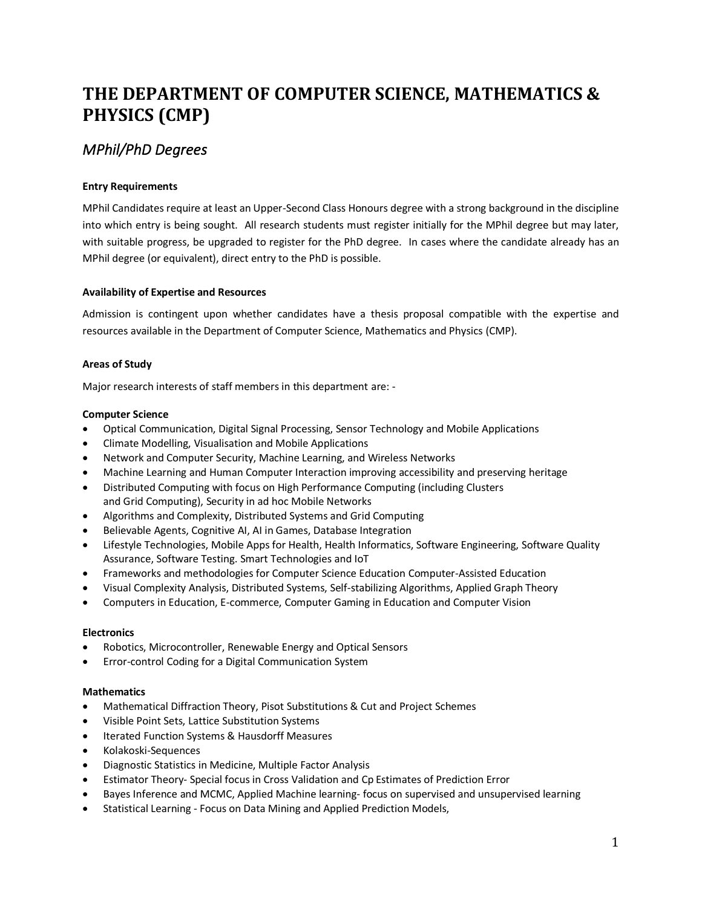# **THE DEPARTMENT OF COMPUTER SCIENCE, MATHEMATICS & PHYSICS (CMP)**

# *MPhil/PhD Degrees*

# **Entry Requirements**

MPhil Candidates require at least an Upper-Second Class Honours degree with a strong background in the discipline into which entry is being sought. All research students must register initially for the MPhil degree but may later, with suitable progress, be upgraded to register for the PhD degree. In cases where the candidate already has an MPhil degree (or equivalent), direct entry to the PhD is possible.

# **Availability of Expertise and Resources**

Admission is contingent upon whether candidates have a thesis proposal compatible with the expertise and resources available in the Department of Computer Science, Mathematics and Physics (CMP).

# **Areas of Study**

Major research interests of staff members in this department are: -

# **Computer Science**

- Optical Communication, Digital Signal Processing, Sensor Technology and Mobile Applications
- Climate Modelling, Visualisation and Mobile Applications
- Network and Computer Security, Machine Learning, and Wireless Networks
- Machine Learning and Human Computer Interaction improving accessibility and preserving heritage
- Distributed Computing with focus on High Performance Computing (including Clusters and Grid Computing), Security in ad hoc Mobile Networks
- Algorithms and Complexity, Distributed Systems and Grid Computing
- Believable Agents, Cognitive AI, AI in Games, Database Integration
- Lifestyle Technologies, Mobile Apps for Health, Health Informatics, Software Engineering, Software Quality Assurance, Software Testing. Smart Technologies and IoT
- Frameworks and methodologies for Computer Science Education Computer-Assisted Education
- Visual Complexity Analysis, Distributed Systems, Self-stabilizing Algorithms, Applied Graph Theory
- Computers in Education, E-commerce, Computer Gaming in Education and Computer Vision

# **Electronics**

- Robotics, Microcontroller, Renewable Energy and Optical Sensors
- Error-control Coding for a Digital Communication System

# **Mathematics**

- Mathematical Diffraction Theory, Pisot Substitutions & Cut and Project Schemes
- Visible Point Sets, Lattice Substitution Systems
- Iterated Function Systems & Hausdorff Measures
- Kolakoski-Sequences
- Diagnostic Statistics in Medicine, Multiple Factor Analysis
- Estimator Theory- Special focus in Cross Validation and Cp Estimates of Prediction Error
- Bayes Inference and MCMC, Applied Machine learning- focus on supervised and unsupervised learning
- Statistical Learning Focus on Data Mining and Applied Prediction Models,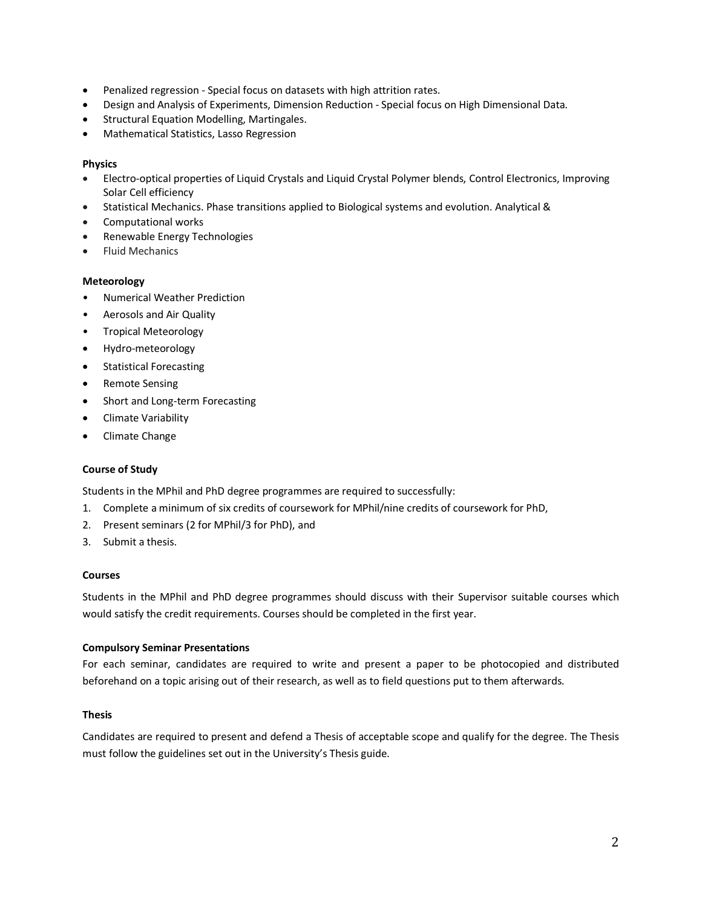- Penalized regression Special focus on datasets with high attrition rates.
- Design and Analysis of Experiments, Dimension Reduction Special focus on High Dimensional Data.
- Structural Equation Modelling, Martingales.
- Mathematical Statistics, Lasso Regression

# **Physics**

- Electro-optical properties of Liquid Crystals and Liquid Crystal Polymer blends, Control Electronics, Improving Solar Cell efficiency
- Statistical Mechanics. Phase transitions applied to Biological systems and evolution. Analytical &
- Computational works
- Renewable Energy Technologies
- Fluid Mechanics

# **Meteorology**

- Numerical Weather Prediction
- Aerosols and Air Quality
- Tropical Meteorology
- Hydro-meteorology
- Statistical Forecasting
- Remote Sensing
- Short and Long-term Forecasting
- Climate Variability
- Climate Change

# **Course of Study**

Students in the MPhil and PhD degree programmes are required to successfully:

- 1. Complete a minimum of six credits of coursework for MPhil/nine credits of coursework for PhD,
- 2. Present seminars (2 for MPhil/3 for PhD), and
- 3. Submit a thesis.

# **Courses**

Students in the MPhil and PhD degree programmes should discuss with their Supervisor suitable courses which would satisfy the credit requirements. Courses should be completed in the first year.

# **Compulsory Seminar Presentations**

For each seminar, candidates are required to write and present a paper to be photocopied and distributed beforehand on a topic arising out of their research, as well as to field questions put to them afterwards.

# **Thesis**

Candidates are required to present and defend a Thesis of acceptable scope and qualify for the degree. The Thesis must follow the guidelines set out in the University's Thesis guide.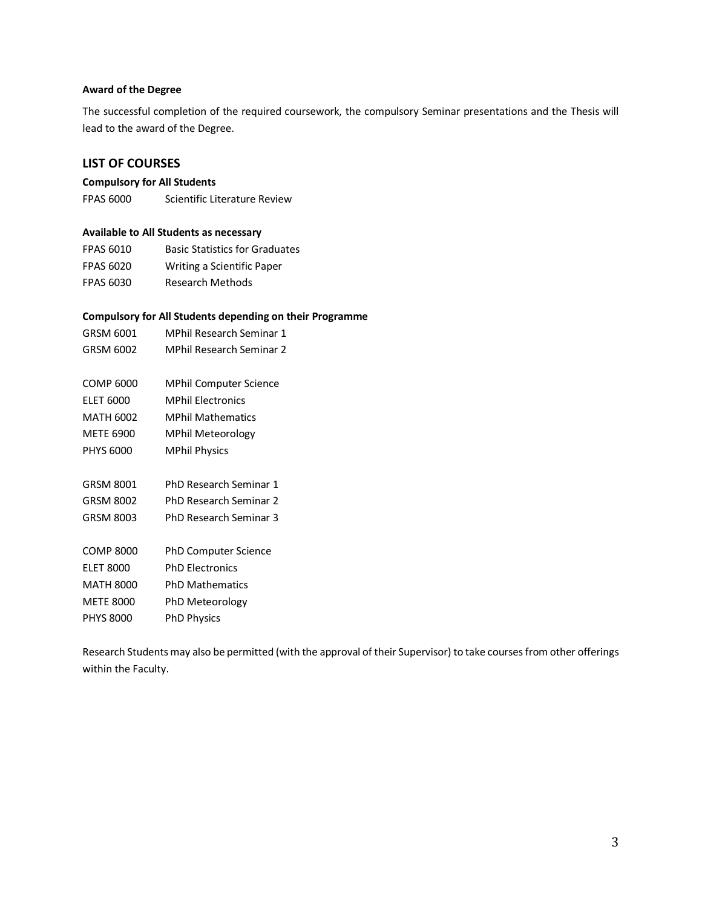### **Award of the Degree**

The successful completion of the required coursework, the compulsory Seminar presentations and the Thesis will lead to the award of the Degree.

# **LIST OF COURSES**

# **Compulsory for All Students**

FPAS 6000 Scientific Literature Review

### **Available to All Students as necessary**

| <b>FPAS 6010</b> | <b>Basic Statistics for Graduates</b> |
|------------------|---------------------------------------|
| <b>FPAS 6020</b> | Writing a Scientific Paper            |
| <b>FPAS 6030</b> | <b>Research Methods</b>               |

### **Compulsory for All Students depending on their Programme**

| GRSM 6001        | MPhil Research Seminar 1      |
|------------------|-------------------------------|
| GRSM 6002        | MPhil Research Seminar 2      |
|                  |                               |
| COMP 6000        | <b>MPhil Computer Science</b> |
| <b>ELET 6000</b> | <b>MPhil Flectronics</b>      |
| <b>MATH 6002</b> | <b>MPhil Mathematics</b>      |
| <b>METE 6900</b> | <b>MPhil Meteorology</b>      |
| <b>PHYS 6000</b> | <b>MPhil Physics</b>          |
|                  |                               |
| GRSM 8001        | <b>PhD Research Seminar 1</b> |
| GRSM 8002        | PhD Research Seminar 2        |
| GRSM 8003        | PhD Research Seminar 3        |
|                  |                               |
| COMP 8000        | <b>PhD Computer Science</b>   |
| <b>ELET 8000</b> | <b>PhD Flectronics</b>        |
| MATH 8000        | <b>PhD Mathematics</b>        |
| <b>METE 8000</b> | PhD Meteorology               |
| <b>PHYS 8000</b> | <b>PhD Physics</b>            |
|                  |                               |

Research Students may also be permitted (with the approval of their Supervisor) to take courses from other offerings within the Faculty.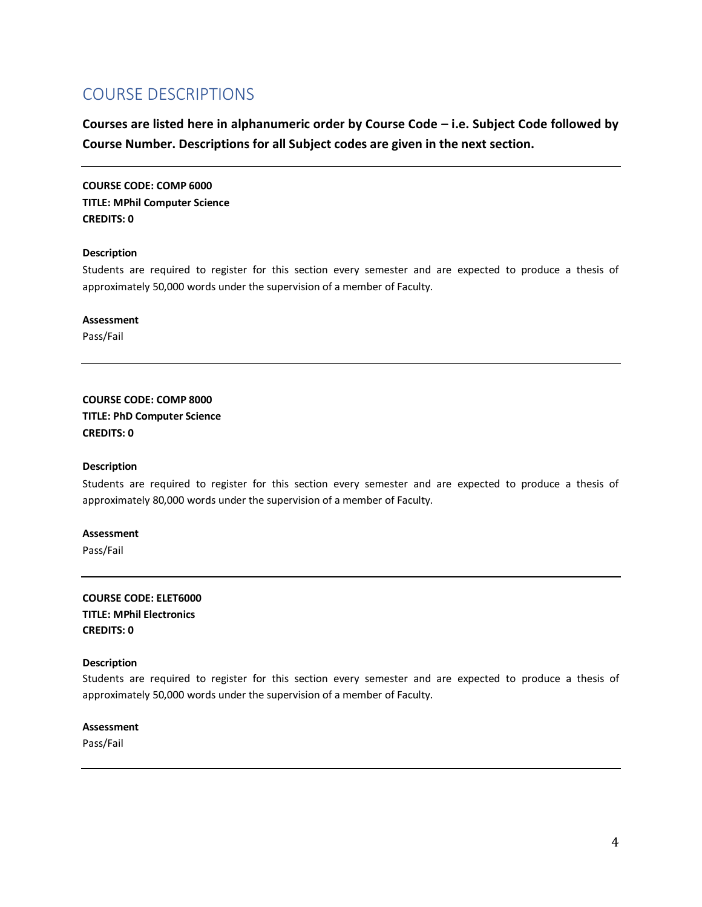# COURSE DESCRIPTIONS

**Courses are listed here in alphanumeric order by Course Code – i.e. Subject Code followed by Course Number. Descriptions for all Subject codes are given in the next section.** 

**COURSE CODE: COMP 6000 TITLE: MPhil Computer Science CREDITS: 0**

#### **Description**

Students are required to register for this section every semester and are expected to produce a thesis of approximately 50,000 words under the supervision of a member of Faculty.

**Assessment** Pass/Fail

**COURSE CODE: COMP 8000 TITLE: PhD Computer Science CREDITS: 0**

### **Description**

Students are required to register for this section every semester and are expected to produce a thesis of approximately 80,000 words under the supervision of a member of Faculty.

# **Assessment**

Pass/Fail

**COURSE CODE: ELET6000 TITLE: MPhil Electronics CREDITS: 0**

### **Description**

Students are required to register for this section every semester and are expected to produce a thesis of approximately 50,000 words under the supervision of a member of Faculty.

# **Assessment**

Pass/Fail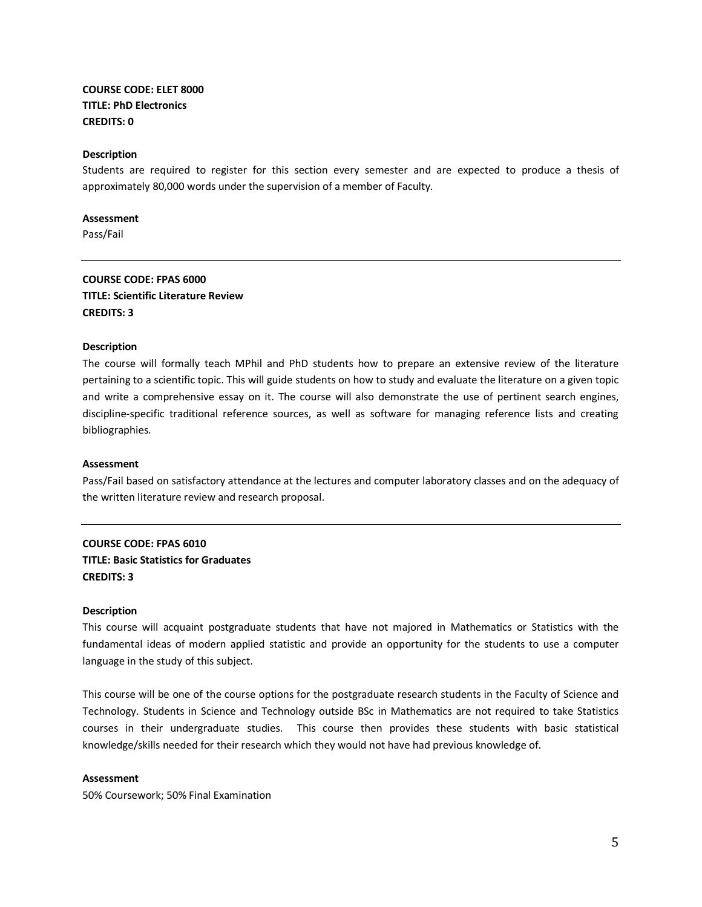# **COURSE CODE: ELET 8000 TITLE: PhD Electronics CREDITS: 0**

### **Description**

Students are required to register for this section every semester and are expected to produce a thesis of approximately 80,000 words under the supervision of a member of Faculty.

#### **Assessment**

Pass/Fail

# **COURSE CODE: FPAS 6000 TITLE: Scientific Literature Review CREDITS: 3**

#### **Description**

The course will formally teach MPhil and PhD students how to prepare an extensive review of the literature pertaining to a scientific topic. This will guide students on how to study and evaluate the literature on a given topic and write a comprehensive essay on it. The course will also demonstrate the use of pertinent search engines, discipline-specific traditional reference sources, as well as software for managing reference lists and creating bibliographies.

#### **Assessment**

Pass/Fail based on satisfactory attendance at the lectures and computer laboratory classes and on the adequacy of the written literature review and research proposal.

# **COURSE CODE: FPAS 6010 TITLE: Basic Statistics for Graduates CREDITS: 3**

#### **Description**

This course will acquaint postgraduate students that have not majored in Mathematics or Statistics with the fundamental ideas of modern applied statistic and provide an opportunity for the students to use a computer language in the study of this subject.

This course will be one of the course options for the postgraduate research students in the Faculty of Science and Technology. Students in Science and Technology outside BSc in Mathematics are not required to take Statistics courses in their undergraduate studies. This course then provides these students with basic statistical knowledge/skills needed for their research which they would not have had previous knowledge of.

#### **Assessment**

50% Coursework; 50% Final Examination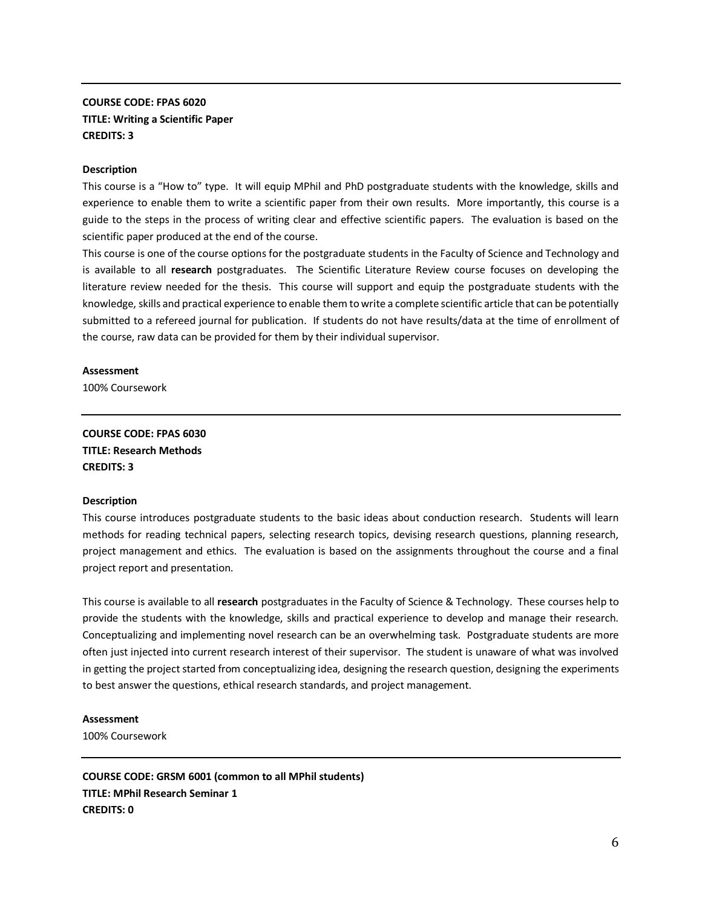# **COURSE CODE: FPAS 6020 TITLE: Writing a Scientific Paper CREDITS: 3**

#### **Description**

This course is a "How to" type. It will equip MPhil and PhD postgraduate students with the knowledge, skills and experience to enable them to write a scientific paper from their own results. More importantly, this course is a guide to the steps in the process of writing clear and effective scientific papers. The evaluation is based on the scientific paper produced at the end of the course.

This course is one of the course options for the postgraduate students in the Faculty of Science and Technology and is available to all **research** postgraduates. The Scientific Literature Review course focuses on developing the literature review needed for the thesis. This course will support and equip the postgraduate students with the knowledge, skills and practical experience to enable them to write a complete scientific article that can be potentially submitted to a refereed journal for publication. If students do not have results/data at the time of enrollment of the course, raw data can be provided for them by their individual supervisor.

#### **Assessment**

100% Coursework

**COURSE CODE: FPAS 6030 TITLE: Research Methods CREDITS: 3** 

#### **Description**

This course introduces postgraduate students to the basic ideas about conduction research. Students will learn methods for reading technical papers, selecting research topics, devising research questions, planning research, project management and ethics. The evaluation is based on the assignments throughout the course and a final project report and presentation.

This course is available to all **research** postgraduates in the Faculty of Science & Technology. These courses help to provide the students with the knowledge, skills and practical experience to develop and manage their research. Conceptualizing and implementing novel research can be an overwhelming task. Postgraduate students are more often just injected into current research interest of their supervisor. The student is unaware of what was involved in getting the project started from conceptualizing idea, designing the research question, designing the experiments to best answer the questions, ethical research standards, and project management.

#### **Assessment**

100% Coursework

**COURSE CODE: GRSM 6001 (common to all MPhil students) TITLE: MPhil Research Seminar 1 CREDITS: 0**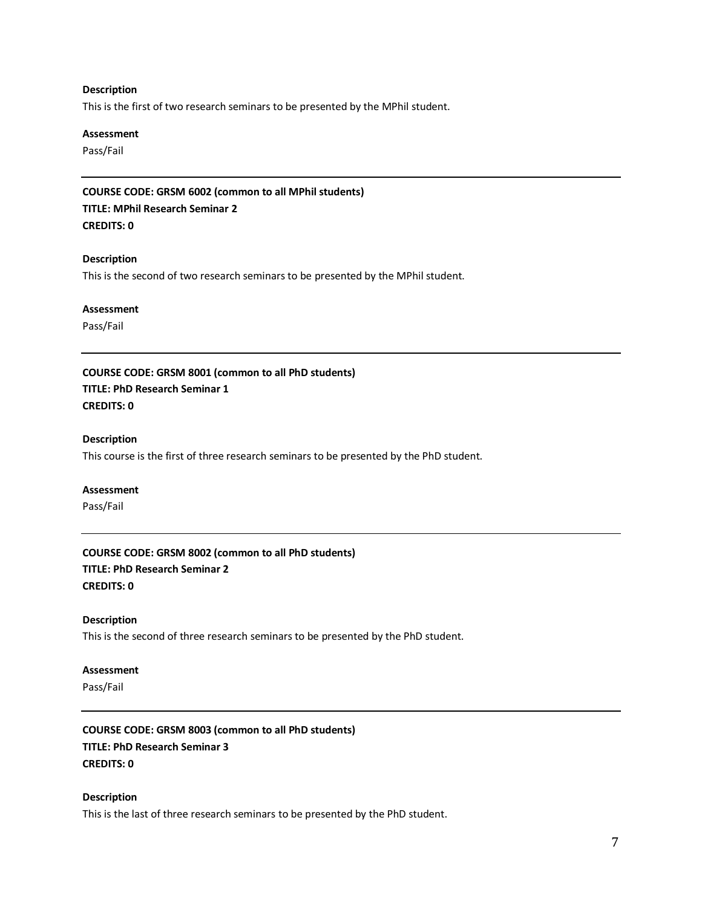#### **Description**

This is the first of two research seminars to be presented by the MPhil student.

### **Assessment**

Pass/Fail

**COURSE CODE: GRSM 6002 (common to all MPhil students) TITLE: MPhil Research Seminar 2 CREDITS: 0**

#### **Description**

This is the second of two research seminars to be presented by the MPhil student.

#### **Assessment**

Pass/Fail

**COURSE CODE: GRSM 8001 (common to all PhD students) TITLE: PhD Research Seminar 1 CREDITS: 0**

#### **Description**

This course is the first of three research seminars to be presented by the PhD student.

#### **Assessment**

Pass/Fail

**COURSE CODE: GRSM 8002 (common to all PhD students) TITLE: PhD Research Seminar 2 CREDITS: 0**

#### **Description**

This is the second of three research seminars to be presented by the PhD student.

# **Assessment**

Pass/Fail

**COURSE CODE: GRSM 8003 (common to all PhD students) TITLE: PhD Research Seminar 3 CREDITS: 0**

#### **Description**

This is the last of three research seminars to be presented by the PhD student.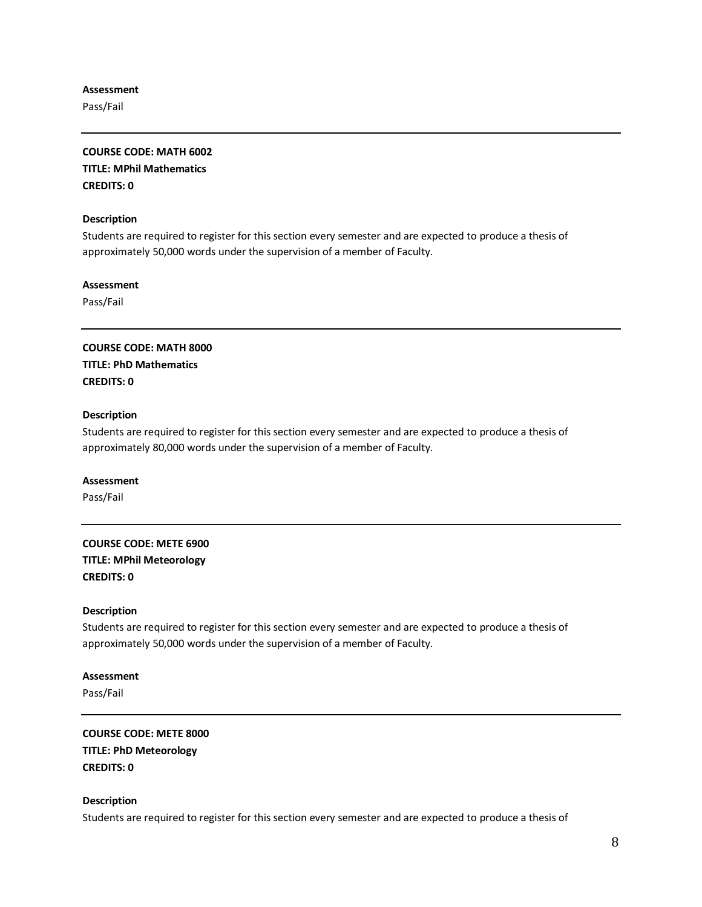### **Assessment**

Pass/Fail

# **COURSE CODE: MATH 6002 TITLE: MPhil Mathematics CREDITS: 0**

### **Description**

Students are required to register for this section every semester and are expected to produce a thesis of approximately 50,000 words under the supervision of a member of Faculty.

### **Assessment**

Pass/Fail

**COURSE CODE: MATH 8000 TITLE: PhD Mathematics CREDITS: 0**

# **Description**

Students are required to register for this section every semester and are expected to produce a thesis of approximately 80,000 words under the supervision of a member of Faculty.

#### **Assessment**

Pass/Fail

# **COURSE CODE: METE 6900 TITLE: MPhil Meteorology CREDITS: 0**

# **Description**

Students are required to register for this section every semester and are expected to produce a thesis of approximately 50,000 words under the supervision of a member of Faculty.

# **Assessment** Pass/Fail

**COURSE CODE: METE 8000 TITLE: PhD Meteorology CREDITS: 0**

# **Description**

Students are required to register for this section every semester and are expected to produce a thesis of